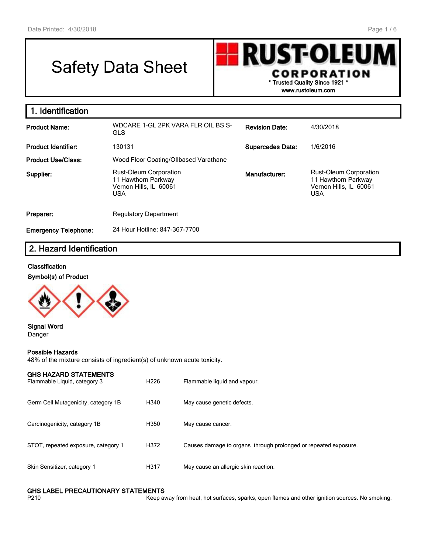# Safety Data Sheet



**www.rustoleum.com**

| 1. Identification           |                                                                                              |                         |                                                                                              |
|-----------------------------|----------------------------------------------------------------------------------------------|-------------------------|----------------------------------------------------------------------------------------------|
| <b>Product Name:</b>        | WDCARE 1-GL 2PK VARA FLR OIL BS S-<br><b>GLS</b>                                             | <b>Revision Date:</b>   | 4/30/2018                                                                                    |
| <b>Product Identifier:</b>  | 130131                                                                                       | <b>Supercedes Date:</b> | 1/6/2016                                                                                     |
| <b>Product Use/Class:</b>   | Wood Floor Coating/Ollbased Varathane                                                        |                         |                                                                                              |
| Supplier:                   | <b>Rust-Oleum Corporation</b><br>11 Hawthorn Parkway<br>Vernon Hills, IL 60061<br><b>USA</b> | Manufacturer:           | <b>Rust-Oleum Corporation</b><br>11 Hawthorn Parkway<br>Vernon Hills, IL 60061<br><b>USA</b> |
| Preparer:                   | <b>Regulatory Department</b>                                                                 |                         |                                                                                              |
| <b>Emergency Telephone:</b> | 24 Hour Hotline: 847-367-7700                                                                |                         |                                                                                              |

## **2. Hazard Identification**

#### **Classification**





#### **Signal Word** Danger

#### **Possible Hazards**

48% of the mixture consists of ingredient(s) of unknown acute toxicity.

| <b>GHS HAZARD STATEMENTS</b><br>Flammable Liquid, category 3 | H <sub>226</sub> | Flammable liquid and vapour.                                    |
|--------------------------------------------------------------|------------------|-----------------------------------------------------------------|
| Germ Cell Mutagenicity, category 1B                          | H340             | May cause genetic defects.                                      |
| Carcinogenicity, category 1B                                 | H350             | May cause cancer.                                               |
| STOT, repeated exposure, category 1                          | H372             | Causes damage to organs through prolonged or repeated exposure. |
| Skin Sensitizer, category 1                                  | H317             | May cause an allergic skin reaction.                            |

#### **GHS LABEL PRECAUTIONARY STATEMENTS**

P210 **Keep away from heat, hot surfaces, sparks, open flames and other ignition sources. No smoking.**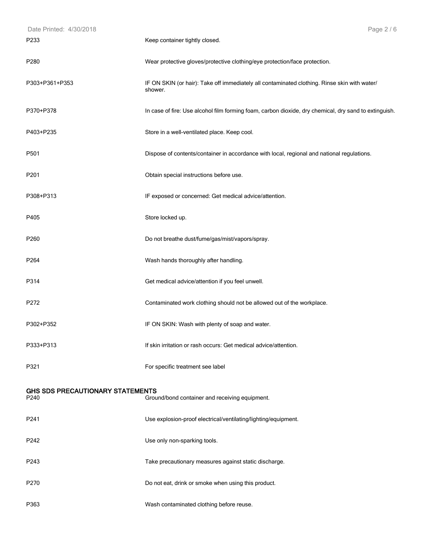| Date Printed: 4/30/2018                  | Page 2 / 6                                                                                              |
|------------------------------------------|---------------------------------------------------------------------------------------------------------|
| P233                                     | Keep container tightly closed.                                                                          |
| P <sub>280</sub>                         | Wear protective gloves/protective clothing/eye protection/face protection.                              |
| P303+P361+P353                           | IF ON SKIN (or hair): Take off immediately all contaminated clothing. Rinse skin with water/<br>shower. |
| P370+P378                                | In case of fire: Use alcohol film forming foam, carbon dioxide, dry chemical, dry sand to extinguish.   |
| P403+P235                                | Store in a well-ventilated place. Keep cool.                                                            |
| P501                                     | Dispose of contents/container in accordance with local, regional and national regulations.              |
| P201                                     | Obtain special instructions before use.                                                                 |
| P308+P313                                | IF exposed or concerned: Get medical advice/attention.                                                  |
| P405                                     | Store locked up.                                                                                        |
| P260                                     | Do not breathe dust/fume/gas/mist/vapors/spray.                                                         |
| P264                                     | Wash hands thoroughly after handling.                                                                   |
| P314                                     | Get medical advice/attention if you feel unwell.                                                        |
| P272                                     | Contaminated work clothing should not be allowed out of the workplace.                                  |
| P302+P352                                | IF ON SKIN: Wash with plenty of soap and water.                                                         |
| P333+P313                                | If skin irritation or rash occurs: Get medical advice/attention.                                        |
| P321                                     | For specific treatment see label                                                                        |
| GHS SDS PRECAUTIONARY STATEMENTS<br>P240 | Ground/bond container and receiving equipment.                                                          |
| P241                                     | Use explosion-proof electrical/ventilating/lighting/equipment.                                          |
| P242                                     | Use only non-sparking tools.                                                                            |
| P243                                     | Take precautionary measures against static discharge.                                                   |
| P270                                     | Do not eat, drink or smoke when using this product.                                                     |
| P363                                     | Wash contaminated clothing before reuse.                                                                |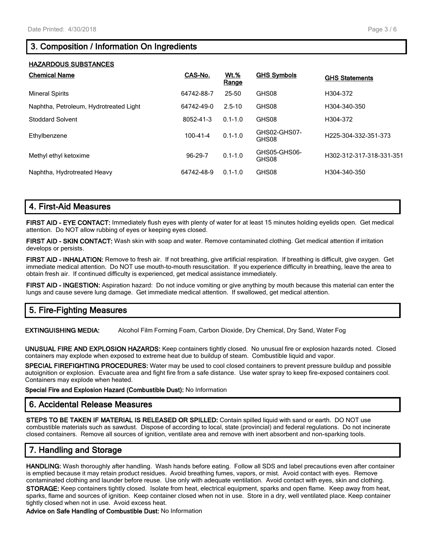# **3. Composition / Information On Ingredients**

### **HAZARDOUS SUBSTANCES**

| <b>Chemical Name</b>                   | CAS-No.        | <u>Wt.%</u><br>Range | <b>GHS Symbols</b>    | <b>GHS Statements</b>    |
|----------------------------------------|----------------|----------------------|-----------------------|--------------------------|
| <b>Mineral Spirits</b>                 | 64742-88-7     | 25-50                | GHS08                 | H304-372                 |
| Naphtha, Petroleum, Hydrotreated Light | 64742-49-0     | $2.5 - 10$           | GHS08                 | H304-340-350             |
| <b>Stoddard Solvent</b>                | 8052-41-3      | $0.1 - 1.0$          | GHS08                 | H304-372                 |
| Ethylbenzene                           | $100 - 41 - 4$ | $0.1 - 1.0$          | GHS02-GHS07-<br>GHS08 | H225-304-332-351-373     |
| Methyl ethyl ketoxime                  | 96-29-7        | $0.1 - 1.0$          | GHS05-GHS06-<br>GHS08 | H302-312-317-318-331-351 |
| Naphtha, Hydrotreated Heavy            | 64742-48-9     | $0.1 - 1.0$          | GHS08                 | H304-340-350             |

## **4. First-Aid Measures**

**FIRST AID - EYE CONTACT:** Immediately flush eyes with plenty of water for at least 15 minutes holding eyelids open. Get medical attention. Do NOT allow rubbing of eyes or keeping eyes closed.

**FIRST AID - SKIN CONTACT:** Wash skin with soap and water. Remove contaminated clothing. Get medical attention if irritation develops or persists.

**FIRST AID - INHALATION:** Remove to fresh air. If not breathing, give artificial respiration. If breathing is difficult, give oxygen. Get immediate medical attention. Do NOT use mouth-to-mouth resuscitation. If you experience difficulty in breathing, leave the area to obtain fresh air. If continued difficulty is experienced, get medical assistance immediately.

**FIRST AID - INGESTION:** Aspiration hazard: Do not induce vomiting or give anything by mouth because this material can enter the lungs and cause severe lung damage. Get immediate medical attention. If swallowed, get medical attention.

## **5. Fire-Fighting Measures**

**EXTINGUISHING MEDIA:** Alcohol Film Forming Foam, Carbon Dioxide, Dry Chemical, Dry Sand, Water Fog

**UNUSUAL FIRE AND EXPLOSION HAZARDS:** Keep containers tightly closed. No unusual fire or explosion hazards noted. Closed containers may explode when exposed to extreme heat due to buildup of steam. Combustible liquid and vapor.

**SPECIAL FIREFIGHTING PROCEDURES:** Water may be used to cool closed containers to prevent pressure buildup and possible autoignition or explosion. Evacuate area and fight fire from a safe distance. Use water spray to keep fire-exposed containers cool. Containers may explode when heated.

**Special Fire and Explosion Hazard (Combustible Dust):** No Information

## **6. Accidental Release Measures**

**STEPS TO BE TAKEN IF MATERIAL IS RELEASED OR SPILLED:** Contain spilled liquid with sand or earth. DO NOT use combustible materials such as sawdust. Dispose of according to local, state (provincial) and federal regulations. Do not incinerate closed containers. Remove all sources of ignition, ventilate area and remove with inert absorbent and non-sparking tools.

# **7. Handling and Storage**

**HANDLING:** Wash thoroughly after handling. Wash hands before eating. Follow all SDS and label precautions even after container is emptied because it may retain product residues. Avoid breathing fumes, vapors, or mist. Avoid contact with eyes. Remove contaminated clothing and launder before reuse. Use only with adequate ventilation. Avoid contact with eyes, skin and clothing.

**STORAGE:** Keep containers tightly closed. Isolate from heat, electrical equipment, sparks and open flame. Keep away from heat, sparks, flame and sources of ignition. Keep container closed when not in use. Store in a dry, well ventilated place. Keep container tightly closed when not in use. Avoid excess heat.

**Advice on Safe Handling of Combustible Dust:** No Information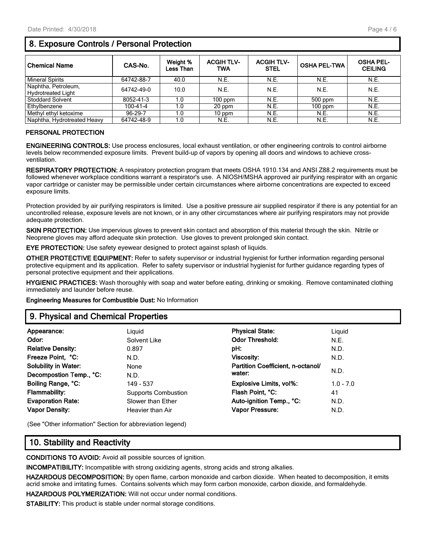# **8. Exposure Controls / Personal Protection**

| <b>Chemical Name</b>        | CAS-No.        | Weight %<br><b>Less Than</b> | <b>ACGIH TLV-</b><br>TWA | <b>ACGIH TLV-</b><br><b>STEL</b> | <b>OSHA PEL-TWA</b> | <b>OSHA PEL-</b><br><b>CEILING</b> |
|-----------------------------|----------------|------------------------------|--------------------------|----------------------------------|---------------------|------------------------------------|
| <b>Mineral Spirits</b>      | 64742-88-7     | 40.0                         | N.E.                     | N.E.                             | N.E.                | N.E.                               |
| Naphtha, Petroleum,         | 64742-49-0     | 10.0                         | N.E.                     | N.E.                             | N.E.                | N.E.                               |
| <b>Hydrotreated Light</b>   |                |                              |                          |                                  |                     |                                    |
| <b>Stoddard Solvent</b>     | 8052-41-3      | 1.0                          | $100$ ppm                | N.E.                             | 500 ppm             | N.E.                               |
| Ethylbenzene                | $100 - 41 - 4$ | 1.0                          | 20 ppm                   | N.E.                             | $100$ ppm           | N.E.                               |
| Methyl ethyl ketoxime       | 96-29-7        | 1.0                          | $10$ ppm                 | N.E.                             | N.E.                | N.E.                               |
| Naphtha, Hydrotreated Heavy | 64742-48-9     | 1.0                          | N.E.                     | N.E.                             | N.E.                | N.E.                               |

### **PERSONAL PROTECTION**

**ENGINEERING CONTROLS:** Use process enclosures, local exhaust ventilation, or other engineering controls to control airborne levels below recommended exposure limits. Prevent build-up of vapors by opening all doors and windows to achieve crossventilation.

**RESPIRATORY PROTECTION:** A respiratory protection program that meets OSHA 1910.134 and ANSI Z88.2 requirements must be followed whenever workplace conditions warrant a respirator's use. A NIOSH/MSHA approved air purifying respirator with an organic vapor cartridge or canister may be permissible under certain circumstances where airborne concentrations are expected to exceed exposure limits.

Protection provided by air purifying respirators is limited. Use a positive pressure air supplied respirator if there is any potential for an uncontrolled release, exposure levels are not known, or in any other circumstances where air purifying respirators may not provide adequate protection.

**SKIN PROTECTION:** Use impervious gloves to prevent skin contact and absorption of this material through the skin. Nitrile or Neoprene gloves may afford adequate skin protection. Use gloves to prevent prolonged skin contact.

**EYE PROTECTION:** Use safety eyewear designed to protect against splash of liquids.

**OTHER PROTECTIVE EQUIPMENT:** Refer to safety supervisor or industrial hygienist for further information regarding personal protective equipment and its application. Refer to safety supervisor or industrial hygienist for further guidance regarding types of personal protective equipment and their applications.

**HYGIENIC PRACTICES:** Wash thoroughly with soap and water before eating, drinking or smoking. Remove contaminated clothing immediately and launder before reuse.

**Engineering Measures for Combustible Dust:** No Information

## **9. Physical and Chemical Properties**

| Appearance:                 | Liguid                     | <b>Physical State:</b>            | Liquid      |
|-----------------------------|----------------------------|-----------------------------------|-------------|
| Odor:                       | Solvent Like               | <b>Odor Threshold:</b>            | N.E.        |
| <b>Relative Density:</b>    | 0.897                      | pH:                               | N.D.        |
| Freeze Point, °C:           | N.D.                       | <b>Viscosity:</b>                 | N.D.        |
| <b>Solubility in Water:</b> | None                       | Partition Coefficient, n-octanol/ |             |
| Decompostion Temp., °C:     | N.D.                       | water:                            | N.D.        |
| Boiling Range, °C:          | 149 - 537                  | <b>Explosive Limits, vol%:</b>    | $1.0 - 7.0$ |
| <b>Flammability:</b>        | <b>Supports Combustion</b> | Flash Point, °C:                  | 41          |
| <b>Evaporation Rate:</b>    | Slower than Ether          | Auto-ignition Temp., °C:          | N.D.        |
| <b>Vapor Density:</b>       | Heavier than Air           | Vapor Pressure:                   | N.D.        |
|                             |                            |                                   |             |

(See "Other information" Section for abbreviation legend)

## **10. Stability and Reactivity**

**CONDITIONS TO AVOID:** Avoid all possible sources of ignition.

**INCOMPATIBILITY:** Incompatible with strong oxidizing agents, strong acids and strong alkalies.

**HAZARDOUS DECOMPOSITION:** By open flame, carbon monoxide and carbon dioxide. When heated to decomposition, it emits acrid smoke and irritating fumes. Contains solvents which may form carbon monoxide, carbon dioxide, and formaldehyde.

**HAZARDOUS POLYMERIZATION:** Will not occur under normal conditions.

**STABILITY:** This product is stable under normal storage conditions.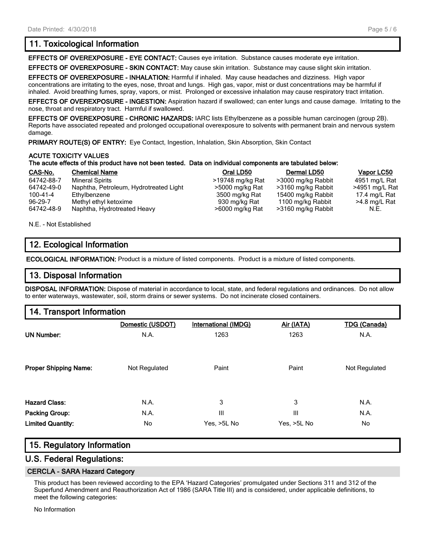## **11. Toxicological Information**

**EFFECTS OF OVEREXPOSURE - EYE CONTACT:** Causes eye irritation. Substance causes moderate eye irritation.

**EFFECTS OF OVEREXPOSURE - SKIN CONTACT:** May cause skin irritation. Substance may cause slight skin irritation.

**EFFECTS OF OVEREXPOSURE - INHALATION:** Harmful if inhaled. May cause headaches and dizziness. High vapor concentrations are irritating to the eyes, nose, throat and lungs. High gas, vapor, mist or dust concentrations may be harmful if inhaled. Avoid breathing fumes, spray, vapors, or mist. Prolonged or excessive inhalation may cause respiratory tract irritation.

**EFFECTS OF OVEREXPOSURE - INGESTION:** Aspiration hazard if swallowed; can enter lungs and cause damage. Irritating to the nose, throat and respiratory tract. Harmful if swallowed.

**EFFECTS OF OVEREXPOSURE - CHRONIC HAZARDS:** IARC lists Ethylbenzene as a possible human carcinogen (group 2B). Reports have associated repeated and prolonged occupational overexposure to solvents with permanent brain and nervous system damage.

**PRIMARY ROUTE(S) OF ENTRY:** Eye Contact, Ingestion, Inhalation, Skin Absorption, Skin Contact

#### **ACUTE TOXICITY VALUES**

#### **The acute effects of this product have not been tested. Data on individual components are tabulated below:**

| CAS-No.    | <b>Chemical Name</b>                   | Oral LD50        | Dermal LD50        | Vapor LC50     |
|------------|----------------------------------------|------------------|--------------------|----------------|
| 64742-88-7 | <b>Mineral Spirits</b>                 | >19748 mg/kg Rat | >3000 mg/kg Rabbit | 4951 mg/L Rat  |
| 64742-49-0 | Naphtha, Petroleum, Hydrotreated Light | >5000 mg/kg Rat  | >3160 mg/kg Rabbit | >4951 mg/L Rat |
| 100-41-4   | Ethvlbenzene                           | 3500 mg/kg Rat   | 15400 mg/kg Rabbit | 17.4 mg/L Rat  |
| $96-29-7$  | Methyl ethyl ketoxime                  | 930 mg/kg Rat    | 1100 mg/kg Rabbit  | >4.8 mg/L Rat  |
| 64742-48-9 | Naphtha, Hydrotreated Heavy            | >6000 mg/kg Rat  | >3160 mg/kg Rabbit | N.E.           |

N.E. - Not Established

## **12. Ecological Information**

**ECOLOGICAL INFORMATION:** Product is a mixture of listed components. Product is a mixture of listed components.

## **13. Disposal Information**

**DISPOSAL INFORMATION:** Dispose of material in accordance to local, state, and federal regulations and ordinances. Do not allow to enter waterways, wastewater, soil, storm drains or sewer systems. Do not incinerate closed containers.

## **14. Transport Information**

|                              | Domestic (USDOT) | <b>International (IMDG)</b> | Air (IATA)  | <b>TDG (Canada)</b> |
|------------------------------|------------------|-----------------------------|-------------|---------------------|
| <b>UN Number:</b>            | N.A.             | 1263                        | 1263        | N.A.                |
| <b>Proper Shipping Name:</b> | Not Regulated    | Paint                       | Paint       | Not Regulated       |
| <b>Hazard Class:</b>         | N.A.             | 3                           | 3           | N.A.                |
| Packing Group:               | N.A.             | $\mathbf{III}$              | Ш           | N.A.                |
| <b>Limited Quantity:</b>     | No               | Yes, >5L No                 | Yes, >5L No | No                  |

## **15. Regulatory Information**

## **U.S. Federal Regulations:**

#### **CERCLA - SARA Hazard Category**

This product has been reviewed according to the EPA 'Hazard Categories' promulgated under Sections 311 and 312 of the Superfund Amendment and Reauthorization Act of 1986 (SARA Title III) and is considered, under applicable definitions, to meet the following categories:

No Information